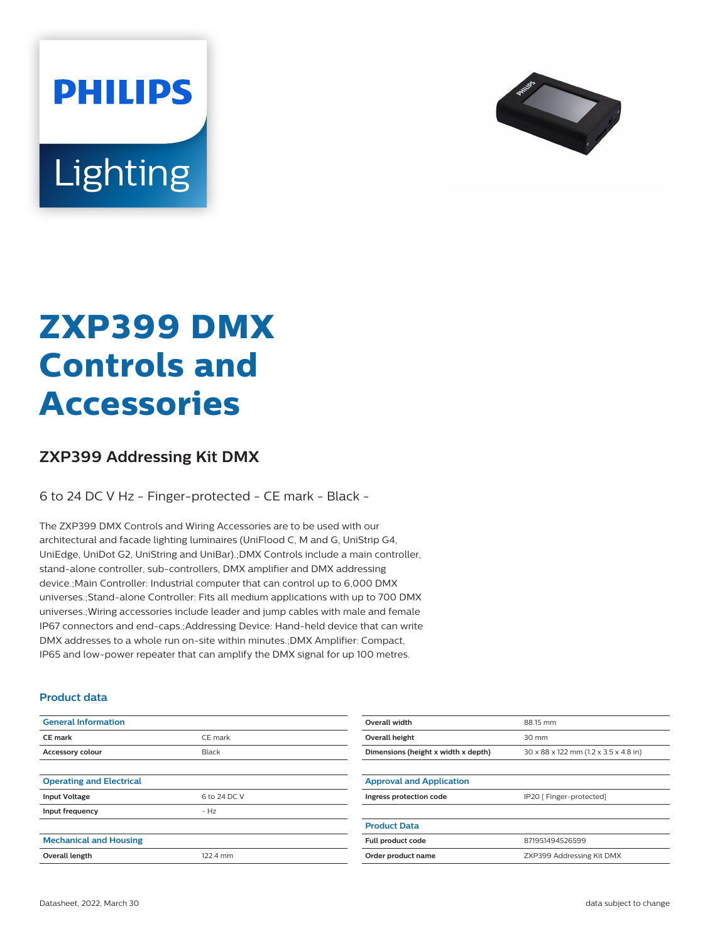



# **ZXP399 DMX Controls and Accessories**

## **ZXP399 Addressing Kit DMX**

6 to 24 DC V Hz - Finger-protected - CE mark - Black -

The ZXP399 DMX Controls and Wiring Accessories are to be used with our architectural and facade lighting luminaires (UniFlood C, M and G, UniStrip G4, UniEdge, UniDot G2, UniString and UniBar).;DMX Controls include a main controller, stand-alone controller, sub-controllers, DMX amplifier and DMX addressing device.;Main Controller: Industrial computer that can control up to 6,000 DMX universes.;Stand-alone Controller: Fits all medium applications with up to 700 DMX universes.;Wiring accessories include leader and jump cables with male and female IP67 connectors and end-caps.;Addressing Device: Hand-held device that can write DMX addresses to a whole run on-site within minutes.;DMX Amplifier: Compact, IP65 and low-power repeater that can amplify the DMX signal for up 100 metres.

#### **Product data**

| <b>General Information</b>      |              | Overall width                       | 88.15 mm                              |
|---------------------------------|--------------|-------------------------------------|---------------------------------------|
| <b>CE</b> mark                  | CE mark      | Overall height                      | 30 mm                                 |
| Accessory colour                | Black        | Dimensions (height x width x depth) | 30 x 88 x 122 mm (1.2 x 3.5 x 4.8 in) |
|                                 |              |                                     |                                       |
| <b>Operating and Electrical</b> |              | <b>Approval and Application</b>     |                                       |
| <b>Input Voltage</b>            | 6 to 24 DC V | Ingress protection code             | IP20 [ Finger-protected]              |
| Input frequency                 | $-Hz$        |                                     |                                       |
|                                 |              | <b>Product Data</b>                 |                                       |
| <b>Mechanical and Housing</b>   |              | Full product code                   | 871951494526599                       |
| Overall length                  | 122.4 mm     | Order product name                  | ZXP399 Addressing Kit DMX             |
|                                 |              |                                     |                                       |